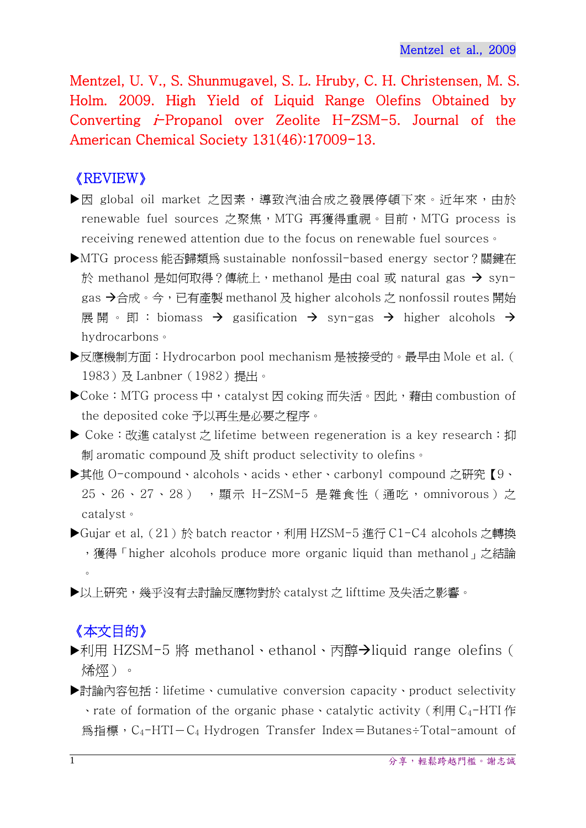Mentzel, U. V., S. Shunmugavel, S. L. Hruby, C. H. Christensen, M. S. Holm. 2009. High Yield of Liquid Range Olefins Obtained by Converting *i*-Propanol over Zeolite H-ZSM-5. Journal of the American Chemical Society 131(46):17009-13.

## 《REVIEW》

- ▶因 global oil market 之因素,導致汽油合成之發展停頓下來。近年來,由於 renewable fuel sources 之聚焦,MTG 再獲得重視。目前,MTG process is receiving renewed attention due to the focus on renewable fuel sources。
- MTG process 能否歸類為 sustainable nonfossil-based energy sector?關鍵在 於 methanol 是如何取得?傳統上,methanol 是由 coal 或 natural gas → syngas →合成。今,已有產製 methanol 及 higher alcohols 之 nonfossil routes 開始 展開。即:biomass  $\rightarrow$  gasification  $\rightarrow$  syn-gas  $\rightarrow$  higher alcohols  $\rightarrow$ hydrocarbons。
- ▶反應機制方面:Hydrocarbon pool mechanism 是被接受的。最早由 Mole et al. ( 1983) 及 Lanbner (1982) 提出。
- ▶Coke: MTG process 中, catalyst 因 coking 而失活。因此, 藉由 combustion of the deposited coke 予以再生是必要之程序。
- ▶ Coke : 改進 catalyst 之 lifetime between regeneration is a key research : 抑 制 aromatic compound 及 shift product selectivity to olefins。
- 其他 O-compound、alcohols、acids、ether、carbonyl compound 之研究【9、 25、26、27、28) , 顯示 H-ZSM-5 是雜食性 (通吃, omnivorous) 之 catalyst。
- ▶Gujar et al, (21)於 batch reactor,利用 HZSM-5 進行 C1-C4 alcohols 之轉換 ,獲得「higher alcohols produce more organic liquid than methanol」之結論  $\circ$
- ▶以上研究,幾乎沒有去討論反應物對於 catalyst 之 lifttime 及失活之影響。

## 《本文目的》

- ▶利用 HZSM-5 將 methanol、ethanol、丙醇→liquid range olefins ( 烯烴)。
- 討論內容包括:lifetime、cumulative conversion capacity、product selectivity  $\cdot$  rate of formation of the organic phase  $\cdot$  catalytic activity (利用 C<sub>4</sub>-HTI 作 為指標, C<sub>4</sub>-HTI-C<sub>4</sub> Hydrogen Transfer Index=Butanes÷Total-amount of